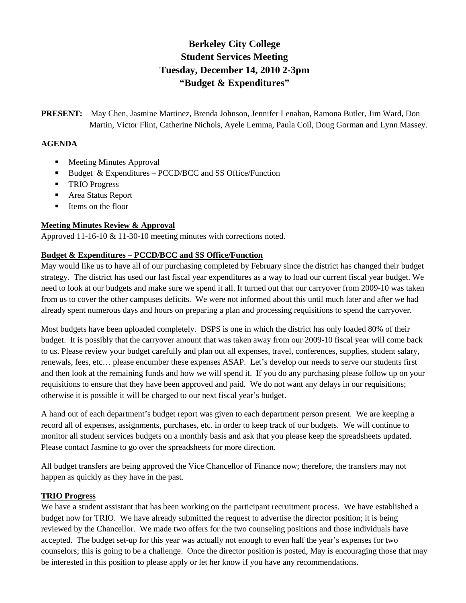# **Berkeley City College Student Services Meeting Tuesday, December 14, 2010 2-3pm "Budget & Expenditures"**

**PRESENT:** May Chen, Jasmine Martinez, Brenda Johnson, Jennifer Lenahan, Ramona Butler, Jim Ward, Don Martin, Victor Flint, Catherine Nichols, Ayele Lemma, Paula Coil, Doug Gorman and Lynn Massey.

#### **AGENDA**

- **Meeting Minutes Approval**
- Budget  $& Expenditures PCCD/BCC$  and SS Office/Function
- **TRIO Progress**
- Area Status Report
- **I** Items on the floor

#### **Meeting Minutes Review & Approval**

Approved 11-16-10 & 11-30-10 meeting minutes with corrections noted.

### **Budget & Expenditures – PCCD/BCC and SS Office/Function**

May would like us to have all of our purchasing completed by February since the district has changed their budget strategy. The district has used our last fiscal year expenditures as a way to load our current fiscal year budget. We need to look at our budgets and make sure we spend it all. It turned out that our carryover from 2009-10 was taken from us to cover the other campuses deficits. We were not informed about this until much later and after we had already spent numerous days and hours on preparing a plan and processing requisitions to spend the carryover.

Most budgets have been uploaded completely. DSPS is one in which the district has only loaded 80% of their budget. It is possibly that the carryover amount that was taken away from our 2009-10 fiscal year will come back to us. Please review your budget carefully and plan out all expenses, travel, conferences, supplies, student salary, renewals, fees, etc… please encumber these expenses ASAP. Let's develop our needs to serve our students first and then look at the remaining funds and how we will spend it. If you do any purchasing please follow up on your requisitions to ensure that they have been approved and paid. We do not want any delays in our requisitions; otherwise it is possible it will be charged to our next fiscal year's budget.

A hand out of each department's budget report was given to each department person present. We are keeping a record all of expenses, assignments, purchases, etc. in order to keep track of our budgets. We will continue to monitor all student services budgets on a monthly basis and ask that you please keep the spreadsheets updated. Please contact Jasmine to go over the spreadsheets for more direction.

All budget transfers are being approved the Vice Chancellor of Finance now; therefore, the transfers may not happen as quickly as they have in the past.

#### **TRIO Progress**

We have a student assistant that has been working on the participant recruitment process. We have established a budget now for TRIO. We have already submitted the request to advertise the director position; it is being reviewed by the Chancellor. We made two offers for the two counseling positions and those individuals have accepted. The budget set-up for this year was actually not enough to even half the year's expenses for two counselors; this is going to be a challenge. Once the director position is posted, May is encouraging those that may be interested in this position to please apply or let her know if you have any recommendations.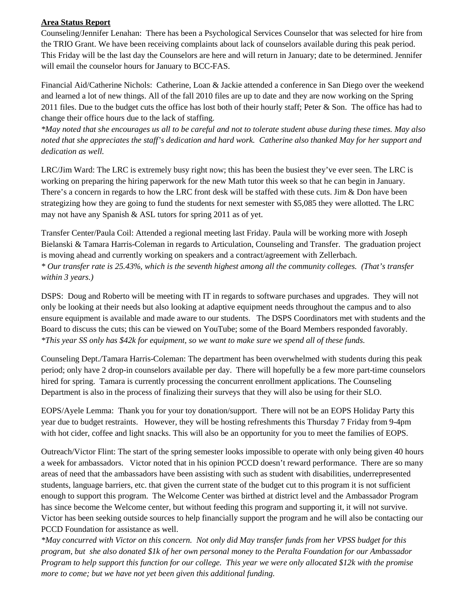#### **Area Status Report**

Counseling/Jennifer Lenahan: There has been a Psychological Services Counselor that was selected for hire from the TRIO Grant. We have been receiving complaints about lack of counselors available during this peak period. This Friday will be the last day the Counselors are here and will return in January; date to be determined. Jennifer will email the counselor hours for January to BCC-FAS.

Financial Aid/Catherine Nichols: Catherine, Loan & Jackie attended a conference in San Diego over the weekend and learned a lot of new things. All of the fall 2010 files are up to date and they are now working on the Spring 2011 files. Due to the budget cuts the office has lost both of their hourly staff; Peter & Son. The office has had to change their office hours due to the lack of staffing.

*\*May noted that she encourages us all to be careful and not to tolerate student abuse during these times. May also noted that she appreciates the staff's dedication and hard work. Catherine also thanked May for her support and dedication as well.*

LRC/Jim Ward: The LRC is extremely busy right now; this has been the busiest they've ever seen. The LRC is working on preparing the hiring paperwork for the new Math tutor this week so that he can begin in January. There's a concern in regards to how the LRC front desk will be staffed with these cuts. Jim & Don have been strategizing how they are going to fund the students for next semester with \$5,085 they were allotted. The LRC may not have any Spanish & ASL tutors for spring 2011 as of yet.

Transfer Center/Paula Coil: Attended a regional meeting last Friday. Paula will be working more with Joseph Bielanski & Tamara Harris-Coleman in regards to Articulation, Counseling and Transfer. The graduation project is moving ahead and currently working on speakers and a contract/agreement with Zellerbach. *\* Our transfer rate is 25.43%, which is the seventh highest among all the community colleges. (That's transfer within 3 years.)*

DSPS: Doug and Roberto will be meeting with IT in regards to software purchases and upgrades. They will not only be looking at their needs but also looking at adaptive equipment needs throughout the campus and to also ensure equipment is available and made aware to our students. The DSPS Coordinators met with students and the Board to discuss the cuts; this can be viewed on YouTube; some of the Board Members responded favorably. *\*This year SS only has \$42k for equipment, so we want to make sure we spend all of these funds.*

Counseling Dept./Tamara Harris-Coleman: The department has been overwhelmed with students during this peak period; only have 2 drop-in counselors available per day. There will hopefully be a few more part-time counselors hired for spring. Tamara is currently processing the concurrent enrollment applications. The Counseling Department is also in the process of finalizing their surveys that they will also be using for their SLO.

EOPS/Ayele Lemma: Thank you for your toy donation/support. There will not be an EOPS Holiday Party this year due to budget restraints. However, they will be hosting refreshments this Thursday 7 Friday from 9-4pm with hot cider, coffee and light snacks. This will also be an opportunity for you to meet the families of EOPS.

Outreach/Victor Flint: The start of the spring semester looks impossible to operate with only being given 40 hours a week for ambassadors. Victor noted that in his opinion PCCD doesn't reward performance. There are so many areas of need that the ambassadors have been assisting with such as student with disabilities, underrepresented students, language barriers, etc. that given the current state of the budget cut to this program it is not sufficient enough to support this program. The Welcome Center was birthed at district level and the Ambassador Program has since become the Welcome center, but without feeding this program and supporting it, it will not survive. Victor has been seeking outside sources to help financially support the program and he will also be contacting our PCCD Foundation for assistance as well.

*\*May concurred with Victor on this concern. Not only did May transfer funds from her VPSS budget for this program, but she also donated \$1k of her own personal money to the Peralta Foundation for our Ambassador Program to help support this function for our college. This year we were only allocated \$12k with the promise more to come; but we have not yet been given this additional funding.*